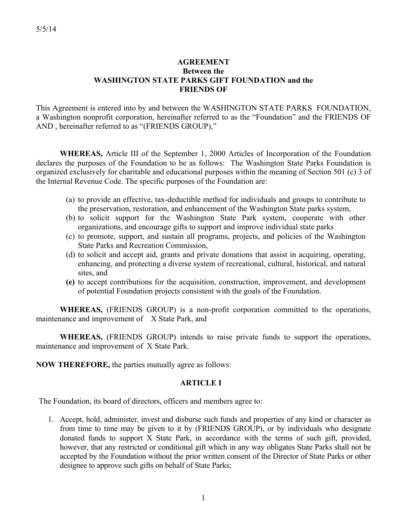# **AGREEMENT Between the WASHINGTON STATE PARKS GIFT FOUNDATION and the FRIENDS OF**

This Agreement is entered into by and between the WASHINGTON STATE PARKS FOUNDATION, a Washington nonprofit corporation, hereinafter referred to as the "Foundation" and the FRIENDS OF AND , hereinafter referred to as "(FRIENDS GROUP),"

**WHEREAS,** Article III of the September 1, 2000 Articles of Incorporation of the Foundation declares the purposes of the Foundation to be as follows: The Washington State Parks Foundation is organized exclusively for charitable and educational purposes within the meaning of Section 501 (c) 3 of the Internal Revenue Code. The specific purposes of the Foundation are:

- (a) to provide an effective, tax-deductible method for individuals and groups to contribute to the preservation, restoration, and enhancement of the Washington State parks system,
- (b) to solicit support for the Washington State Park system, cooperate with other organizations, and encourage gifts to support and improve individual state parks
- (c) to promote, support, and sustain all programs, projects, and policies of the Washington State Parks and Recreation Commission,
- (d) to solicit and accept aid, grants and private donations that assist in acquiring, operating, enhancing, and protecting a diverse system of recreational, cultural, historical, and natural sites, and
- **(e)** to accept contributions for the acquisition, construction, improvement, and development of potential Foundation projects consistent with the goals of the Foundation.

**WHEREAS,** (FRIENDS GROUP) is a non-profit corporation committed to the operations, maintenance and improvement of X State Park, and

**WHEREAS,** (FRIENDS GROUP) intends to raise private funds to support the operations, maintenance and improvement of X State Park.

**NOW THEREFORE,** the parties mutually agree as follows:

### **ARTICLE I**

The Foundation, its board of directors, officers and members agree to:

1. Accept, hold, administer, invest and disburse such funds and properties of any kind or character as from time to time may be given to it by (FRIENDS GROUP), or by individuals who designate donated funds to support X State Park, in accordance with the terms of such gift, provided, however, that any restricted or conditional gift which in any way obligates State Parks shall not be accepted by the Foundation without the prior written consent of the Director of State Parks or other designee to approve such gifts on behalf of State Parks;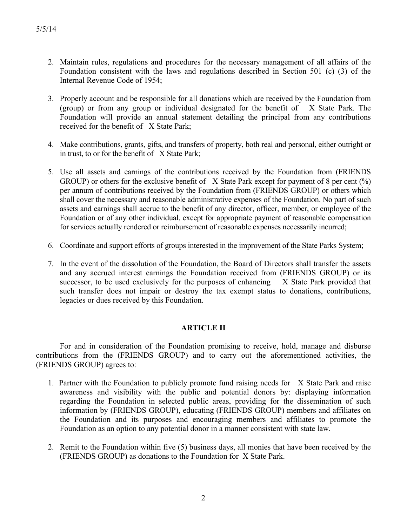- 2. Maintain rules, regulations and procedures for the necessary management of all affairs of the Foundation consistent with the laws and regulations described in Section 501 (c) (3) of the Internal Revenue Code of 1954;
- 3. Properly account and be responsible for all donations which are received by the Foundation from (group) or from any group or individual designated for the benefit of X State Park. The Foundation will provide an annual statement detailing the principal from any contributions received for the benefit of X State Park;
- 4. Make contributions, grants, gifts, and transfers of property, both real and personal, either outright or in trust, to or for the benefit of X State Park;
- 5. Use all assets and earnings of the contributions received by the Foundation from (FRIENDS GROUP) or others for the exclusive benefit of  $X$  State Park except for payment of 8 per cent  $(\%)$ per annum of contributions received by the Foundation from (FRIENDS GROUP) or others which shall cover the necessary and reasonable administrative expenses of the Foundation. No part of such assets and earnings shall accrue to the benefit of any director, officer, member, or employee of the Foundation or of any other individual, except for appropriate payment of reasonable compensation for services actually rendered or reimbursement of reasonable expenses necessarily incurred;
- 6. Coordinate and support efforts of groups interested in the improvement of the State Parks System;
- 7. In the event of the dissolution of the Foundation, the Board of Directors shall transfer the assets and any accrued interest earnings the Foundation received from (FRIENDS GROUP) or its successor, to be used exclusively for the purposes of enhancing X State Park provided that such transfer does not impair or destroy the tax exempt status to donations, contributions, legacies or dues received by this Foundation.

### **ARTICLE II**

For and in consideration of the Foundation promising to receive, hold, manage and disburse contributions from the (FRIENDS GROUP) and to carry out the aforementioned activities, the (FRIENDS GROUP) agrees to:

- 1. Partner with the Foundation to publicly promote fund raising needs for X State Park and raise awareness and visibility with the public and potential donors by: displaying information regarding the Foundation in selected public areas, providing for the dissemination of such information by (FRIENDS GROUP), educating (FRIENDS GROUP) members and affiliates on the Foundation and its purposes and encouraging members and affiliates to promote the Foundation as an option to any potential donor in a manner consistent with state law.
- 2. Remit to the Foundation within five (5) business days, all monies that have been received by the (FRIENDS GROUP) as donations to the Foundation for X State Park.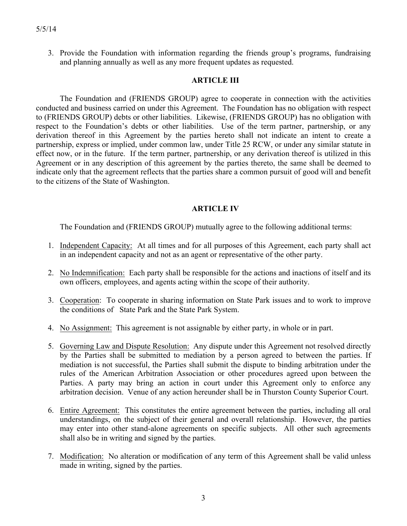3. Provide the Foundation with information regarding the friends group's programs, fundraising and planning annually as well as any more frequent updates as requested.

### **ARTICLE III**

The Foundation and (FRIENDS GROUP) agree to cooperate in connection with the activities conducted and business carried on under this Agreement. The Foundation has no obligation with respect to (FRIENDS GROUP) debts or other liabilities. Likewise, (FRIENDS GROUP) has no obligation with respect to the Foundation's debts or other liabilities. Use of the term partner, partnership, or any derivation thereof in this Agreement by the parties hereto shall not indicate an intent to create a partnership, express or implied, under common law, under Title 25 RCW, or under any similar statute in effect now, or in the future. If the term partner, partnership, or any derivation thereof is utilized in this Agreement or in any description of this agreement by the parties thereto, the same shall be deemed to indicate only that the agreement reflects that the parties share a common pursuit of good will and benefit to the citizens of the State of Washington.

# **ARTICLE IV**

The Foundation and (FRIENDS GROUP) mutually agree to the following additional terms:

- 1. Independent Capacity: At all times and for all purposes of this Agreement, each party shall act in an independent capacity and not as an agent or representative of the other party.
- 2. No Indemnification: Each party shall be responsible for the actions and inactions of itself and its own officers, employees, and agents acting within the scope of their authority.
- 3. Cooperation: To cooperate in sharing information on State Park issues and to work to improve the conditions of State Park and the State Park System.
- 4. No Assignment: This agreement is not assignable by either party, in whole or in part.
- 5. Governing Law and Dispute Resolution: Any dispute under this Agreement not resolved directly by the Parties shall be submitted to mediation by a person agreed to between the parties. If mediation is not successful, the Parties shall submit the dispute to binding arbitration under the rules of the American Arbitration Association or other procedures agreed upon between the Parties. A party may bring an action in court under this Agreement only to enforce any arbitration decision. Venue of any action hereunder shall be in Thurston County Superior Court.
- 6. Entire Agreement: This constitutes the entire agreement between the parties, including all oral understandings, on the subject of their general and overall relationship. However, the parties may enter into other stand-alone agreements on specific subjects. All other such agreements shall also be in writing and signed by the parties.
- 7. Modification: No alteration or modification of any term of this Agreement shall be valid unless made in writing, signed by the parties.